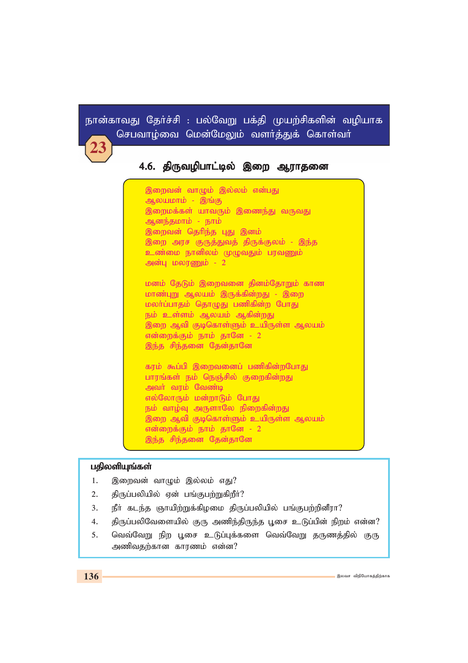# நான்காவது தேர்ச்சி : பல்வேறு பக்தி முயற்சிகளின் வழியாக செபவாம்வை மென்மேலும் வளர்க்குக் கொள்வர்

# 4.6. திருவழிபாட்டில் இறை ஆராதனை

இறைவன் வாழும் இல்லம் என்பது ஆலயமாம் - இங்கு இறைமக்கள் யாவரும் இணைந்து வருவது ஆனந்தமாம் - நாம் இறைவன் தெரிந்த பது இனம் இறை அரச குருத்துவத் திருக்குலம் - இந்த உண்மை நானிலம் முழுவதும் பரவணும் அன்பு மலரணும் - 2

மனம் தேடும் இறைவனை தினம்தோறும் காண மாண்புறு ஆலயம் இருக்கின்றது - இறை மலா்ப்பாதம் தொழுது பணிகின்ற போது நம் உள்ளம் ஆலயம் ஆகின்றது இறை ஆவி குடிகொள்ளும் உயிருள்ள ஆலயும் என்றைக்கும் நாம் தானே - 2 இந்த சிந்தனை தேன்தானே

கரம் கூப்பி இறைவனைப் பணிகின்றபோது பாரங்கள் நம் நெஞ்சில் குறைகின்றது அவர் வரம் வேண்டி எல்லோரும் மன்றாடும் போது நம் வாழ்வு அருளாலே நிறைகின்றது இறை ஆவி குடிகொள்ளும் உயிருள்ள ஆலயம் என்றைக்கும் நாம் தானே - 2

இந்த சிந்தனை தேன்தானே

### பதிலளியுங்கள்

- இறைவன் வாழும் இல்லம் எது?  $1.$
- திருப்பலியில் ஏன் பங்குபற்றுகிறீர்?  $2.$
- $3<sub>1</sub>$ நீா் கடந்த ஞாயிற்றுக்கிழமை திருப்பலியில் பங்குபற்றினீரா?
- திருப்பலிவேளையில் குரு அணிந்திருந்த பூசை உடுப்பின் நிறம் என்ன?  $4.$
- வெவ்வேறு நிற பூசை உடுப்புக்களை வெவ்வேறு தருணத்தில் குரு  $5<sub>1</sub>$ அணிவதற்கான காரணம் என்ன?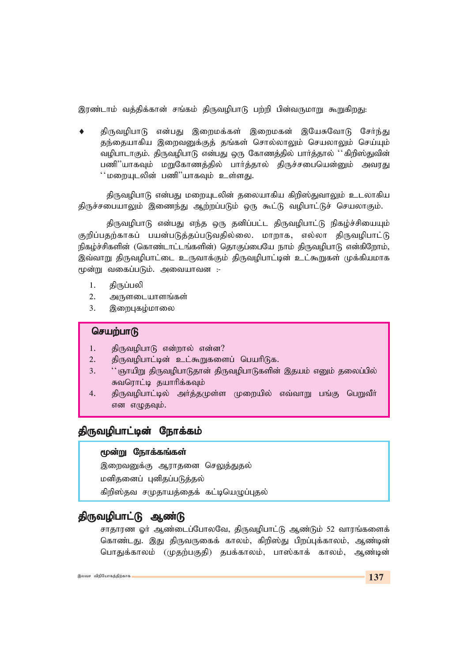இரண்டாம் வத்திக்கான் சங்கம் திருவமிபாடு பற்றி பின்வருமாறு கூறுகிறது:

திருவழிபாடு என்பது இறைமக்கள் இறைமகன் இயேசுவோடு சேர்ந்து தந்தையாகிய இறைவனுக்குத் தங்கள் சொல்லாலும் செயலாலும் செய்யும் வழிபாடாகும். திருவழிபாடு என்பது ஒரு கோணத்தில் பார்த்தால் ''கிறிஸ்துவின் பணி''யாகவும் மறுகோணத்தில் பார்த்தால் திருச்சபையென்னும் அவரது '' மறையுடலின் பணி''யாகவும் உள்ளது.

திருவழிபாடு என்பது மறையுடலின் தலையாகிய கிறிஸ்துவாலும் உடலாகிய திருச்சபையாலும் இணைந்து ஆற்றப்படும் ஒரு கூட்டு வழிபாட்டுச் செயலாகும்.

திருவழிபாடு என்பது எந்த ஒரு தனிப்பட்ட திருவழிபாட்டு நிகழ்ச்சியையும் குறிப்பதற்காகப் பயன்படுத்தப்படுவதில்லை. மாறாக, எல்லா திருவழிபாட்டு நிகழ்ச்சிகளின் (கொண்டாட்டங்களின்) தொகுப்பையே நாம் திருவழிபாடு என்கிறோம், இவ்வாறு திருவழிபாட்டை உருவாக்கும் திருவழிபாட்டின் உட்கூறுகள் முக்கியமாக மூன்று வகைப்படும். அவையாவன :-

- $1.$ கிருப்பலி
- $2.$ அருளடையாளங்கள்
- $3.$ இறைபுகழ்மாலை

### செயற்பாடு

- திருவழிபாடு என்றால் என்ன? 1.
- திருவமிபாட்டின் உட்கூறுகளைப் பெயரிடுக.  $2.$
- '' ஞாயிறு திருவழிபாடுதான் திருவழிபாடுகளின் இதயம் எனும் தலைப்பில்  $3.$ சுவரொட்டி தயாரிக்கவும்
- திருவழிபாட்டில் அர்த்தமுள்ள முறையில் எவ்வாறு பங்கு பெறுவீா்  $4.$ என எழுதவும்.

## திருவழிபாட்டின் நோக்கம்

### மூன்று நோக்கங்கள்

இறைவனுக்கு ஆராதனை செலுத்துதல் மனிதனைப் புனிதப்படுத்தல்

கிறிஸ்தவ சமுதாயத்தைக் கட்டியெழுப்புதல்

# திருவழிபாட்டு ஆண்டு

சாதாரண ஓர் ஆண்டைப்போலவே, திருவழிபாட்டு ஆண்டும் 52 வாரங்களைக் கொண்டது. இது திருவருகைக் காலம், கிறிஸ்து பிறப்புக்காலம், ஆண்டின் பொதுக்காலம் (முதற்பகுதி) தபக்காலம், பாஸ்காக் காலம், ஆண்டின்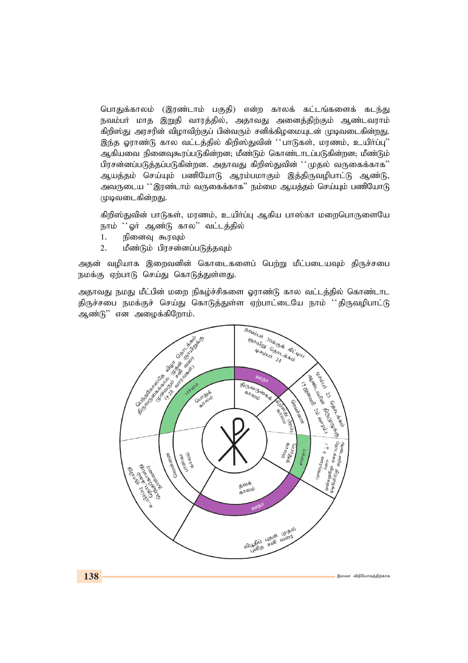பொதுக்காலம் (இரண்டாம் பகுதி) என்ற காலக் கட்டங்களைக் கடந்து நவம்பர் மாத இறுதி வாரத்தில், அதாவது அனைத்திற்கும் ஆண்டவராம் *fpwp];J murupd; tpohtpw;Fg; gpd;tUk; rdpf;fpoikAld; Kbtilfpd;wJ.* இந்த ஓராண்டு கால வட்டத்தில் கிறிஸ்துவின் ''பாடுகள், மரணம், உயிர்ப்பு'' ஆகியவை நினைவுகூரப்படுகின்றன; மீண்டும் கொண்டாடப்படுகின்றன; மீண்டும் பிரசன்னப்படுத்தப்படுகின்றன. அதாவது கிறிஸ்துவின் ''முதல் வருகைக்காக**'**' ஆயத்தம் செய்யும் பணியோடு ஆரம்பமாகும் இத்திருவழிபாட்டு ஆண்டு, அவருடைய ''இரண்டாம் வருகைக்காக" நம்மை ஆயத்தம் செய்யும் பணியோடு *Kbtilfpd;wJ.*

கிறிஸ்துவின் பாடுகள், மரணம், உயிர்ப்பு ஆகிய பாஸ்கா மறைபொருளையே நாம் ''ஓர் ஆண்டு கால'' வட்டத்தில்

- 1. நினைவு கூரவும்
- 2. மீண்டும் பிரசன்னப்படுத்தவும்

அதன் வழியாக இறைவனின் கொடைகளைப் பெற்று மீட்படையவும் திருச்சபை நமக்கு ஏற்பாடு செய்து கொடுத்துள்ளது.

அதாவது நமது மீட்பின் மறை நிகழ்ச்சிகளை ஓராண்டு கால வட்டத்தில் கொண்டாட திருச்சபை நமக்குச் செய்து கொடுத்துள்ள ஏற்பாட்டையே நாம் ''திருவழிபாட்டு ஆண்டு<sup>"</sup> என அழைக்கிறோம்.

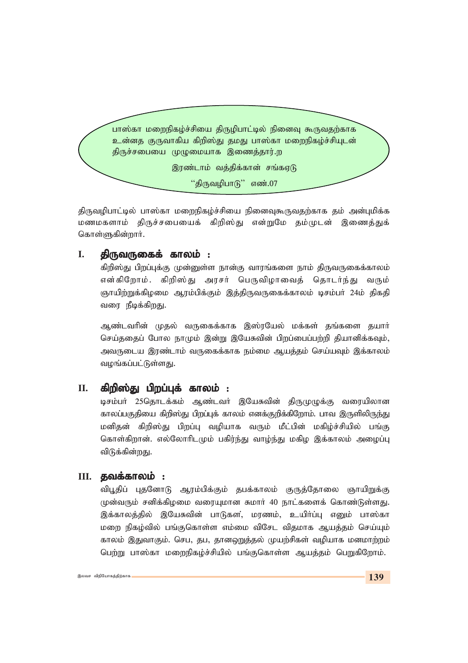பாஸ்கா மறைநிகழ்ச்சியை திருழிபாட்டில் நினைவு கூருவதற்காக உன்னத குருவாகிய கிறிஸ்து தமது பாஸ்கா மறைநிகழ்ச்சியுடன் திருச்சபையை முழுமையாக இணைத்தார்.ற

இரண்டாம் வத்திக்கான் சங்கஏடு

"திருவழிபாடு" எண்.07

திருவழிபாட்டில் பாஸ்கா மறைநிகழ்ச்சியை நினைவுகூருவதற்காக தம் அன்புமிக்க மணமகளாம் திருச்சபையைக் கிறிஸ்து என்றுமே தம்முடன் இணைத்துக் கொள்ளுகின்றார்.

#### I. திருவருகைக் காலம் :

கிறிஸ்து பிறப்புக்கு முன்னுள்ள நான்கு வாரங்களை நாம் திருவருகைக்காலம் என்கிறோம். கிறிஸ்து அரசர் பெருவிழாவைத் தொடர்ந்து வரும் ஞாயிற்றுக்கிழமை ஆரம்பிக்கும் இத்திருவருகைக்காலம் டிசம்பர் 24ம் திகதி வரை நீடிக்கிறது.

ஆண்டவரின் முதல் வருகைக்காக இஸ்ரயேல் மக்கள் தங்களை தயார் செய்ததைப் போல நாமும் இன்று இயேசுவின் பிறப்பைப்பற்றி தியானிக்கவும், அவருடைய இரண்டாம் வருகைக்காக நம்மை ஆயக்கம் செய்யவும் இக்காலம் வழங்கப்பட்டுள்ளது.

#### II. கிறிஸ்கு பிறப்பக் காலம் :

டிசம்பர் 25தொடக்கம் ஆண்டவர் இயேசுவின் திருமுழுக்கு வரையிலான காலப்பகுதியை கிறிஸ்து பிறப்புக் காலம் எனக்குறிக்கிறோம். பாவ இருளிலிருந்து மனிதன் கிறிஸ்து பிறப்பு வழியாக வரும் மீட்பின் மகிழ்ச்சியில் பங்கு கொள்கிறான். எல்லோரிடமும் பகிர்ந்து வாழ்ந்து மகிழ இக்காலம் அழைப்பு விடுக்கின்றது.

# $III.$  தவக்காலம் :

விபூதிப் புதனோடு ஆரம்பிக்கும் தபக்காலம் குருத்தோலை ஞாயிறுக்கு முன்வரும் சனிக்கிழமை வரையுமான சுமார் 40 நாட்களைக் கொண்டுள்ளது. இக்காலத்தில் இயேசுவின் பாடுகள, மரணம், உயிர்ப்பு எனும் பாஸ்கா மறை நிகழ்வில் பங்குகொள்ள எம்மை விசேட விதமாக ஆயத்தம் செய்யும் காலம் இதுவாகும். செப, தப, தானஒறுத்தல் முயற்சிகள் வழியாக மனமாற்றம் பெற்று பாஸ்கா மறைநிகழ்ச்சியில் பங்குகொள்ள ஆயத்தம் பெறுகிறோம்.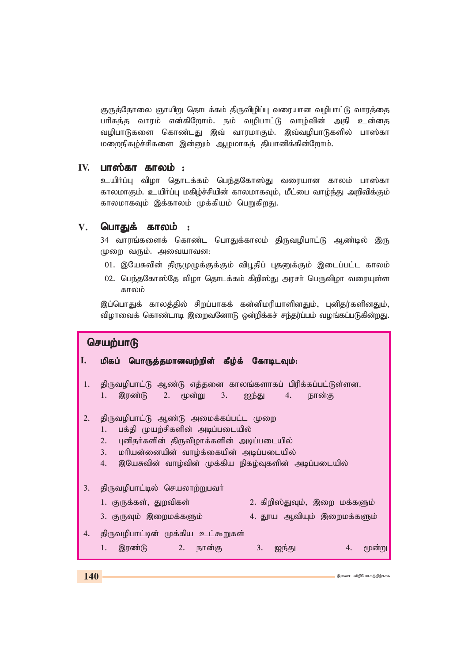குருத்தோலை ஞாயிறு தொடக்கம் திருவிழிப்பு வரையான வழிபாட்டு வாரத்தை பரிசுத்த வாரம் என்கிறோம். நம் வழிபாட்டு வாழ்வின் அதி உன்னத வழிபாடுகளை கொண்டது இவ் வாரமாகும். இவ்வழிபாடுகளில் பாஸ்கா மறைநிகழ்ச்சிகளை இன்னும் ஆழமாகத் தியானிக்கின்றோம்.

## $IV.$  பாஸ்கா காலம் :

உயிர்ப்பு விழா தொடக்கம் பெந்தகோஸ்து வரையான காலம் பாஸ்கா காலமாகும். உயிர்ப்பு மகிழ்ச்சியின் காலமாகவும், மீட்பை வாழ்ந்து அறிவிக்கும் காலமாகவும் இக்காலம் முக்கியம் பெறுகிறது.

#### $V_{\cdot}$ பொதுக் காலம் :

34 வாரங்களைக் கொண்ட பொதுக்காலம் திருவழிபாட்டு ஆண்டில் இரு முறை வரும். அவையாவன:

- 01. இயேசுவின் திருமுழுக்குக்கும் விபூதிப் புதனுக்கும் இடைப்பட்ட காலம்
- 02. பெந்தகோஸ்தே விழா தொடக்கம் கிறிஸ்து அரசா் பெருவிழா வரையுள்ள காலம்

இப்பொதுக் காலத்தில் சிறப்பாகக் கன்னிமரியாளினதும், புனிதர்களினதும், விழாவைக் கொண்டாடி இறைவனோடு ஒன்றிக்கச் சந்தர்ப்பம் வழங்கப்படுகின்றது.

#### செயற்பாடு Π. மிகப் பொருத்தமானவற்றின் கீழ்க் கோடிடவும்:  $1.$ திருவமிபாட்டு ஆண்டு எத்தனை காலங்களாகப் பிரிக்கப்பட்டுள்ளன.  $1.$ இரண்டு  $2.$   $\epsilon$  $\omega$ ன்று  $3.$ ஐந்து 4. **நான்கு**  $2.$ திருவழிபாட்டு ஆண்டு அமைக்கப்பட்ட முறை  $\overline{1}$ . பக்தி முயற்சிகளின் அடிப்படையில் 2. புனிதர்களின் திருவிழாக்களின் அடிப்படையில்  $3.$ மரியன்னையின் வாழ்க்கையின் அடிப்படையில்  $4.$ இயேசுவின் வாழ்வின் முக்கிய நிகழ்வுகளின் அடிப்படையில் கிருவமிபாட்டில் செயலாற்றுபவர்  $3.$ 1. குருக்கள், துறவிகள் 2. கிறிஸ்துவும், இறை மக்களும் 3. குருவும் இறைமக்களும் 4. தூய ஆவியும் இறைமக்களும்  $\overline{4}$ . திருவழிபாட்டின் முக்கிய உட்கூறுகள் 1. இரண்டு  $3.$  $2.$ நான்கு ஐந்து  $\overline{4}$ . மூன்று

இலவசு விரியோசுச்சிற்காக